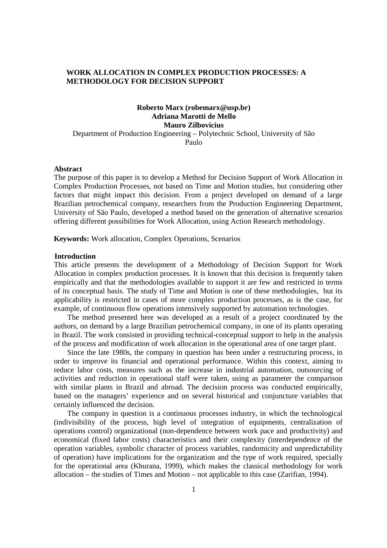# **WORK ALLOCATION IN COMPLEX PRODUCTION PROCESSES: A METHODOLOGY FOR DECISION SUPPORT**

# **Roberto Marx (robemarx@usp.br) Adriana Marotti de Mello Mauro Zilbovicius**

Department of Production Engineering – Polytechnic School, University of São Paulo

### **Abstract**

The purpose of this paper is to develop a Method for Decision Support of Work Allocation in Complex Production Processes, not based on Time and Motion studies, but considering other factors that might impact this decision. From a project developed on demand of a large Brazilian petrochemical company, researchers from the Production Engineering Department, University of São Paulo, developed a method based on the generation of alternative scenarios offering different possibilities for Work Allocation, using Action Research methodology.

**Keywords:** Work allocation, Complex Operations, Scenarios

# **Introduction**

This article presents the development of a Methodology of Decision Support for Work Allocation in complex production processes. It is known that this decision is frequently taken empirically and that the methodologies available to support it are few and restricted in terms of its conceptual basis. The study of Time and Motion is one of these methodologies, but its applicability is restricted in cases of more complex production processes, as is the case, for example, of continuous flow operations intensively supported by automation technologies.

The method presented here was developed as a result of a project coordinated by the authors, on demand by a large Brazilian petrochemical company, in one of its plants operating in Brazil. The work consisted in providing technical-conceptual support to help in the analysis of the process and modification of work allocation in the operational area of one target plant.

Since the late 1980s, the company in question has been under a restructuring process, in order to improve its financial and operational performance. Within this context, aiming to reduce labor costs, measures such as the increase in industrial automation, outsourcing of activities and reduction in operational staff were taken, using as parameter the comparison with similar plants in Brazil and abroad. The decision process was conducted empirically, based on the managers' experience and on several historical and conjuncture variables that certainly influenced the decision.

The company in question is a continuous processes industry, in which the technological (indivisibility of the process, high level of integration of equipments, centralization of operations control) organizational (non-dependence between work pace and productivity) and economical (fixed labor costs) characteristics and their complexity (interdependence of the operation variables, symbolic character of process variables, randomicity and unpredictability of operation) have implications for the organization and the type of work required, specially for the operational area (Khurana, 1999), which makes the classical methodology for work allocation – the studies of Times and Motion – not applicable to this case (Zarifian, 1994).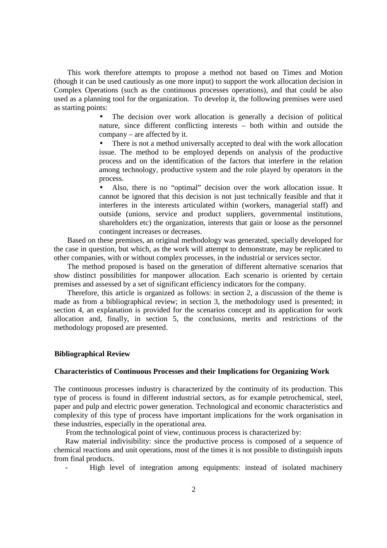This work therefore attempts to propose a method not based on Times and Motion (though it can be used cautiously as one more input) to support the work allocation decision in Complex Operations (such as the continuous processes operations), and that could be also used as a planning tool for the organization. To develop it, the following premises were used as starting points:

> The decision over work allocation is generally a decision of political nature, since different conflicting interests – both within and outside the company – are affected by it.

> • There is not a method universally accepted to deal with the work allocation issue. The method to be employed depends on analysis of the productive process and on the identification of the factors that interfere in the relation among technology, productive system and the role played by operators in the process.

> • Also, there is no "optimal" decision over the work allocation issue. It cannot be ignored that this decision is not just technically feasible and that it interferes in the interests articulated within (workers, managerial staff) and outside (unions, service and product suppliers, governmental institutions, shareholders etc) the organization, interests that gain or loose as the personnel contingent increases or decreases.

Based on these premises, an original methodology was generated, specially developed for the case in question, but which, as the work will attempt to demonstrate, may be replicated to other companies, with or without complex processes, in the industrial or services sector.

The method proposed is based on the generation of different alternative scenarios that show distinct possibilities for manpower allocation. Each scenario is oriented by certain premises and assessed by a set of significant efficiency indicators for the company.

Therefore, this article is organized as follows: in section 2, a discussion of the theme is made as from a bibliographical review; in section 3, the methodology used is presented; in section 4, an explanation is provided for the scenarios concept and its application for work allocation and, finally, in section 5, the conclusions, merits and restrictions of the methodology proposed are presented.

#### **Bibliographical Review**

#### **Characteristics of Continuous Processes and their Implications for Organizing Work**

The continuous processes industry is characterized by the continuity of its production. This type of process is found in different industrial sectors, as for example petrochemical, steel, paper and pulp and electric power generation. Technological and economic characteristics and complexity of this type of process have important implications for the work organisation in these industries, especially in the operational area.

From the technological point of view, continuous process is characterized by:

Raw material indivisibility: since the productive process is composed of a sequence of chemical reactions and unit operations, most of the times it is not possible to distinguish inputs from final products.

High level of integration among equipments: instead of isolated machinery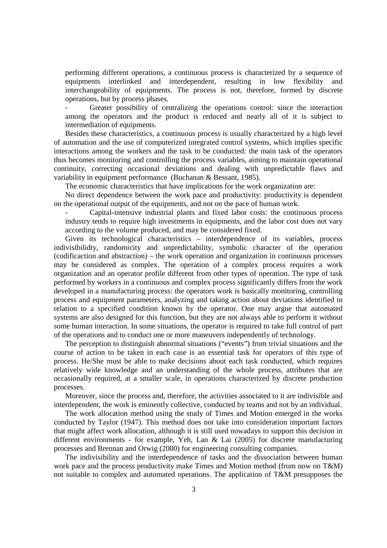performing different operations, a continuous process is characterized by a sequence of equipments interlinked and interdependent, resulting in low flexibility and interchangeability of equipments. The process is not, therefore, formed by discrete operations, but by process phases.

- Greater possibility of centralizing the operations control: since the interaction among the operators and the product is reduced and nearly all of it is subject to intermediation of equipments.

Besides these characteristics, a continuous process is usually characterized by a high level of automation and the use of computerized integrated control systems, which implies specific interactions among the workers and the task to be conducted: the main task of the operators thus becomes monitoring and controlling the process variables, aiming to maintain operational continuity, correcting occasional deviations and dealing with unpredictable flaws and variability in equipment performance (Buchanan & Bessant, 1985).

The economic characteristics that have implications for the work organization are:

No direct dependence between the work pace and productivity: productivity is dependent on the operational output of the equipments, and not on the pace of human work.

- Capital-intensive industrial plants and fixed labor costs: the continuous process industry tends to require high investments in equipments, and the labor cost does not vary according to the volume produced, and may be considered fixed.

Given its technological characteristics – interdependence of its variables, process indivisibilidty, randomicity and unpredictability, symbolic character of the operation (codificaction and abstraction) – the work operation and organization in continuous processes may be considered as complex. The operation of a complex process requires a work organization and an operator profile different from other types of operation. The type of task performed by workers in a continuous and complex process significantly differs from the work developed in a manufacturing process: the operators work is basically monitoring, controlling process and equipment parameters, analyzing and taking action about deviations identified in relation to a specified condition known by the operator. One may argue that automated systems are also designed for this function, but they are not always able to perform it without some human interaction. In some situations, the operator is required to take full control of part of the operations and to conduct one or more maneuvers independently of technology.

The perception to distinguish abnormal situations ("events") from trivial situations and the course of action to be taken in each case is an essential task for operators of this type of process. He/She must be able to make decisions about each task conducted, which requires relatively wide knowledge and an understanding of the whole process, attributes that are occasionally required, at a smaller scale, in operations characterized by discrete production processes.

Moreover, since the process and, therefore, the activities associated to it are indivisible and interdependent, the work is eminently collective, conducted by teams and not by an individual.

The work allocation method using the study of Times and Motion emerged in the works conducted by Taylor (1947). This method does not take into consideration important factors that might affect work allocation, although it is still used nowadays to support this decision in different environments - for example, Yeh, Lan & Lai (2005) for discrete manufacturing processes and Brennan and Orwig (2000) for engineering consulting companies.

The indivisibility and the interdependence of tasks and the dissociation between human work pace and the process productivity make Times and Motion method (from now on T&M) not suitable to complex and automated operations. The application of T&M presupposes the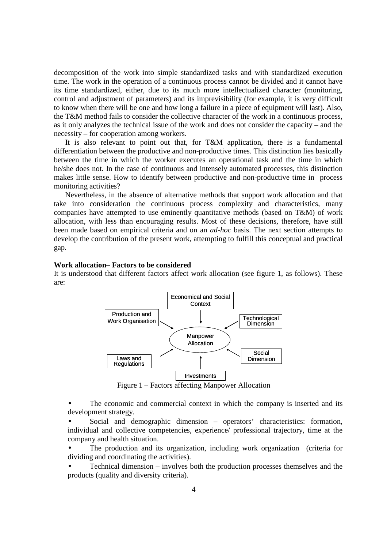decomposition of the work into simple standardized tasks and with standardized execution time. The work in the operation of a continuous process cannot be divided and it cannot have its time standardized, either, due to its much more intellectualized character (monitoring, control and adjustment of parameters) and its imprevisibility (for example, it is very difficult to know when there will be one and how long a failure in a piece of equipment will last). Also, the T&M method fails to consider the collective character of the work in a continuous process, as it only analyzes the technical issue of the work and does not consider the capacity – and the necessity – for cooperation among workers.

It is also relevant to point out that, for T&M application, there is a fundamental differentiation between the productive and non-productive times. This distinction lies basically between the time in which the worker executes an operational task and the time in which he/she does not. In the case of continuous and intensely automated processes, this distinction makes little sense. How to identify between productive and non-productive time in process monitoring activities?

Nevertheless, in the absence of alternative methods that support work allocation and that take into consideration the continuous process complexity and characteristics, many companies have attempted to use eminently quantitative methods (based on T&M) of work allocation, with less than encouraging results. Most of these decisions, therefore, have still been made based on empirical criteria and on an *ad-hoc* basis. The next section attempts to develop the contribution of the present work, attempting to fulfill this conceptual and practical gap.

#### **Work allocation– Factors to be considered**

It is understood that different factors affect work allocation (see figure 1, as follows). These are:



Figure 1 – Factors affecting Manpower Allocation

The economic and commercial context in which the company is inserted and its development strategy.

• Social and demographic dimension – operators' characteristics: formation, individual and collective competencies, experience/ professional trajectory, time at the company and health situation.

The production and its organization, including work organization (criteria for dividing and coordinating the activities).

• Technical dimension – involves both the production processes themselves and the products (quality and diversity criteria).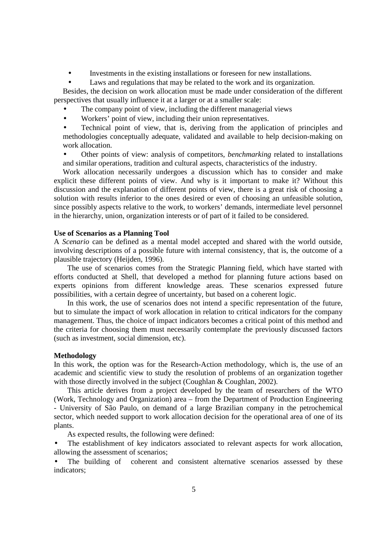• Investments in the existing installations or foreseen for new installations.

Laws and regulations that may be related to the work and its organization.

Besides, the decision on work allocation must be made under consideration of the different perspectives that usually influence it at a larger or at a smaller scale:

- The company point of view, including the different managerial views
- Workers' point of view, including their union representatives.

• Technical point of view, that is, deriving from the application of principles and methodologies conceptually adequate, validated and available to help decision-making on work allocation.

• Other points of view: analysis of competitors, *benchmarking* related to installations and similar operations, tradition and cultural aspects, characteristics of the industry.

Work allocation necessarily undergoes a discussion which has to consider and make explicit these different points of view. And why is it important to make it? Without this discussion and the explanation of different points of view, there is a great risk of choosing a solution with results inferior to the ones desired or even of choosing an unfeasible solution, since possibly aspects relative to the work, to workers' demands, intermediate level personnel in the hierarchy, union, organization interests or of part of it failed to be considered.

## **Use of Scenarios as a Planning Tool**

A *Scenario* can be defined as a mental model accepted and shared with the world outside, involving descriptions of a possible future with internal consistency, that is, the outcome of a plausible trajectory (Heijden, 1996).

The use of scenarios comes from the Strategic Planning field, which have started with efforts conducted at Shell, that developed a method for planning future actions based on experts opinions from different knowledge areas. These scenarios expressed future possibilities, with a certain degree of uncertainty, but based on a coherent logic.

In this work, the use of scenarios does not intend a specific representation of the future, but to simulate the impact of work allocation in relation to critical indicators for the company management. Thus, the choice of impact indicators becomes a critical point of this method and the criteria for choosing them must necessarily contemplate the previously discussed factors (such as investment, social dimension, etc).

#### **Methodology**

In this work, the option was for the Research-Action methodology, which is, the use of an academic and scientific view to study the resolution of problems of an organization together with those directly involved in the subject (Coughlan & Coughlan, 2002).

This article derives from a project developed by the team of researchers of the WTO (Work, Technology and Organization) area – from the Department of Production Engineering - University of São Paulo, on demand of a large Brazilian company in the petrochemical sector, which needed support to work allocation decision for the operational area of one of its plants.

As expected results, the following were defined:

The establishment of key indicators associated to relevant aspects for work allocation, allowing the assessment of scenarios;

The building of coherent and consistent alternative scenarios assessed by these indicators;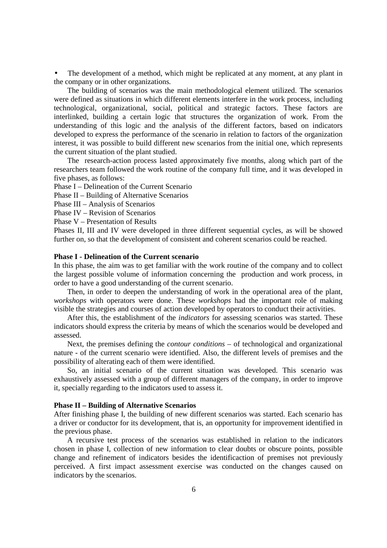The development of a method, which might be replicated at any moment, at any plant in the company or in other organizations*.*

The building of scenarios was the main methodological element utilized. The scenarios were defined as situations in which different elements interfere in the work process, including technological, organizational, social, political and strategic factors. These factors are interlinked, building a certain logic that structures the organization of work. From the understanding of this logic and the analysis of the different factors, based on indicators developed to express the performance of the scenario in relation to factors of the organization interest, it was possible to build different new scenarios from the initial one, which represents the current situation of the plant studied.

The research-action process lasted approximately five months, along which part of the researchers team followed the work routine of the company full time, and it was developed in five phases, as follows:

Phase I – Delineation of the Current Scenario

Phase II – Building of Alternative Scenarios

Phase III – Analysis of Scenarios

Phase IV – Revision of Scenarios

Phase V – Presentation of Results

Phases II, III and IV were developed in three different sequential cycles, as will be showed further on, so that the development of consistent and coherent scenarios could be reached.

### **Phase I - Delineation of the Current scenario**

In this phase, the aim was to get familiar with the work routine of the company and to collect the largest possible volume of information concerning the production and work process, in order to have a good understanding of the current scenario.

Then, in order to deepen the understanding of work in the operational area of the plant, *workshops* with operators were done. These *workshops* had the important role of making visible the strategies and courses of action developed by operators to conduct their activities.

After this, the establishment of the *indicators* for assessing scenarios was started. These indicators should express the criteria by means of which the scenarios would be developed and assessed.

Next, the premises defining the *contour conditions* – of technological and organizational nature *-* of the current scenario were identified. Also, the different levels of premises and the possibility of alterating each of them were identified.

So, an initial scenario of the current situation was developed. This scenario was exhaustively assessed with a group of different managers of the company, in order to improve it, specially regarding to the indicators used to assess it.

### **Phase II – Building of Alternative Scenarios**

After finishing phase I, the building of new different scenarios was started. Each scenario has a driver or conductor for its development, that is, an opportunity for improvement identified in the previous phase.

A recursive test process of the scenarios was established in relation to the indicators chosen in phase I, collection of new information to clear doubts or obscure points, possible change and refinement of indicators besides the identificaction of premises not previously perceived. A first impact assessment exercise was conducted on the changes caused on indicators by the scenarios.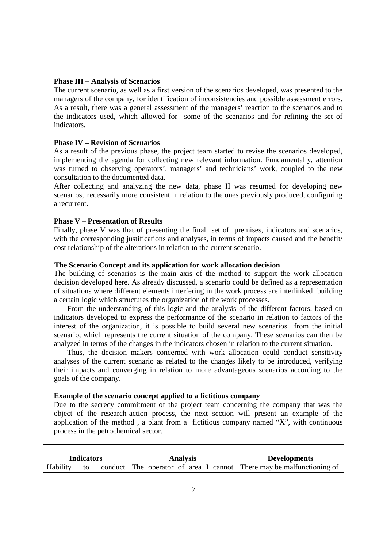# **Phase III – Analysis of Scenarios**

The current scenario, as well as a first version of the scenarios developed, was presented to the managers of the company, for identification of inconsistencies and possible assessment errors. As a result, there was a general assessment of the managers' reaction to the scenarios and to the indicators used, which allowed for some of the scenarios and for refining the set of indicators.

### **Phase IV – Revision of Scenarios**

As a result of the previous phase, the project team started to revise the scenarios developed, implementing the agenda for collecting new relevant information. Fundamentally, attention was turned to observing operators', managers' and technicians' work, coupled to the new consultation to the documented data.

After collecting and analyzing the new data, phase II was resumed for developing new scenarios, necessarily more consistent in relation to the ones previously produced, configuring a recurrent.

#### **Phase V – Presentation of Results**

Finally, phase V was that of presenting the final set of premises, indicators and scenarios, with the corresponding justifications and analyses, in terms of impacts caused and the benefit/ cost relationship of the alterations in relation to the current scenario.

### **The Scenario Concept and its application for work allocation decision**

The building of scenarios is the main axis of the method to support the work allocation decision developed here. As already discussed, a scenario could be defined as a representation of situations where different elements interfering in the work process are interlinked building a certain logic which structures the organization of the work processes.

 From the understanding of this logic and the analysis of the different factors, based on indicators developed to express the performance of the scenario in relation to factors of the interest of the organization, it is possible to build several new scenarios from the initial scenario, which represents the current situation of the company. These scenarios can then be analyzed in terms of the changes in the indicators chosen in relation to the current situation.

 Thus, the decision makers concerned with work allocation could conduct sensitivity analyses of the current scenario as related to the changes likely to be introduced, verifying their impacts and converging in relation to more advantageous scenarios according to the goals of the company.

# **Example of the scenario concept applied to a fictitious company**

Due to the secrecy commitment of the project team concerning the company that was the object of the research-action process, the next section will present an example of the application of the method , a plant from a fictitious company named "X", with continuous process in the petrochemical sector.

| <b>Indicators</b> |  |         | <b>Analysis</b>                                              | <b>Developments</b> |
|-------------------|--|---------|--------------------------------------------------------------|---------------------|
| Hability          |  | conduct | The operator of area I cannot There may be malfunctioning of |                     |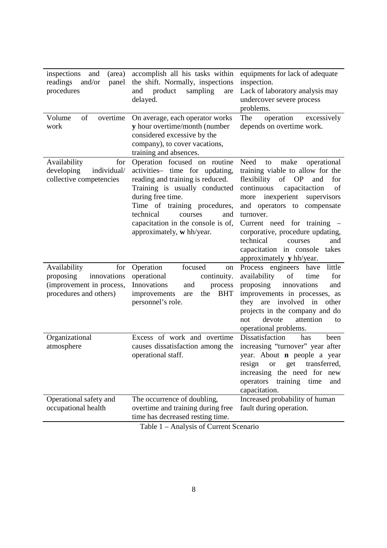| inspections<br>(area)<br>and<br>and/or<br>readings<br>panel<br>procedures                             | accomplish all his tasks within<br>the shift. Normally, inspections<br>product<br>sampling<br>and<br>are<br>delayed.                                                                                                                                                                       | equipments for lack of adequate<br>inspection.<br>Lack of laboratory analysis may<br>undercover severe process<br>problems.                                                                                                                                                                                                                                                                          |
|-------------------------------------------------------------------------------------------------------|--------------------------------------------------------------------------------------------------------------------------------------------------------------------------------------------------------------------------------------------------------------------------------------------|------------------------------------------------------------------------------------------------------------------------------------------------------------------------------------------------------------------------------------------------------------------------------------------------------------------------------------------------------------------------------------------------------|
| of<br>Volume<br>overtime<br>work                                                                      | On average, each operator works<br>y hour overtime/month (number<br>considered excessive by the<br>company), to cover vacations,<br>training and absences.                                                                                                                                 | The<br>operation<br>excessively<br>depends on overtime work.                                                                                                                                                                                                                                                                                                                                         |
| Availability<br>for<br>developing<br>individual/<br>collective competencies                           | Operation focused on routine<br>activities- time for updating,<br>reading and training is reduced.<br>Training is usually conducted<br>during free time.<br>Time of training procedures,<br>technical<br>courses<br>and<br>capacitation in the console is of,<br>approximately, w hh/year. | Need<br>make<br>operational<br>to<br>training viable to allow for the<br>flexibility<br>of OP<br>for<br>and<br>continuous<br>capacitaction<br>of<br>inexperient<br>supervisors<br>more<br>and operators to compensate<br>turnover.<br>Current need for training –<br>corporative, procedure updating,<br>technical<br>and<br>courses<br>capacitation in console<br>takes<br>approximately y hh/year. |
| Availability<br>for<br>proposing<br>innovations<br>(improvement in process,<br>procedures and others) | Operation<br>focused<br>on<br>operational<br>continuity.<br>Innovations<br>process<br>and<br>improvements<br>the<br><b>BHT</b><br>are<br>personnel's role.                                                                                                                                 | Process engineers have<br>little<br>of<br>availability<br>for<br>time<br>proposing<br>innovations<br>and<br>improvements in processes, as<br>they are involved in<br>other<br>projects in the company and do<br>devote<br>attention<br>not<br>to<br>operational problems.                                                                                                                            |
| Organizational<br>atmosphere                                                                          | Excess of work and overtime<br>causes dissatisfaction among the<br>operational staff.                                                                                                                                                                                                      | Dissatisfaction<br>has<br>been<br>increasing "turnover" year after<br>year. About <b>n</b> people a year<br>transferred,<br>resign<br><b>or</b><br>get<br>increasing the need for new<br>operators<br>training<br>time<br>and<br>capacitation.                                                                                                                                                       |
| Operational safety and<br>occupational health                                                         | The occurrence of doubling,<br>overtime and training during free<br>time has decreased resting time.                                                                                                                                                                                       | Increased probability of human<br>fault during operation.                                                                                                                                                                                                                                                                                                                                            |

Table 1 – Analysis of Current Scenario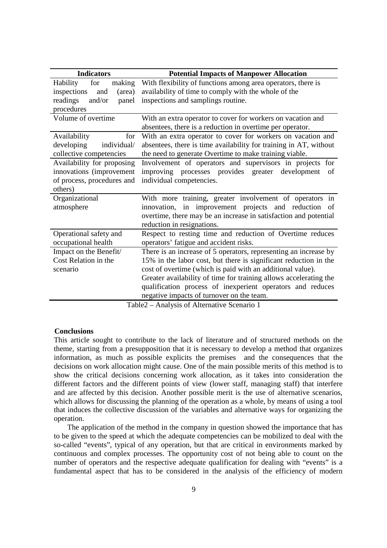| <b>Indicators</b>                           | <b>Potential Impacts of Manpower Allocation</b>                   |  |  |  |
|---------------------------------------------|-------------------------------------------------------------------|--|--|--|
| for<br><b>Hability</b><br>making            | With flexibility of functions among area operators, there is      |  |  |  |
| (area)<br>inspections<br>and                | availability of time to comply with the whole of the              |  |  |  |
| readings<br>and/or<br>panel                 | inspections and samplings routine.                                |  |  |  |
| procedures                                  |                                                                   |  |  |  |
| Volume of overtime                          | With an extra operator to cover for workers on vacation and       |  |  |  |
|                                             | absentees, there is a reduction in overtime per operator.         |  |  |  |
| Availability<br>for                         | With an extra operator to cover for workers on vacation and       |  |  |  |
| developing<br>individual/                   | absentees, there is time availability for training in AT, without |  |  |  |
| collective competencies                     | the need to generate Overtime to make training viable.            |  |  |  |
| Availability for proposing                  | Involvement of operators and supervisors in projects for          |  |  |  |
| innovations (improvement                    | improving processes provides greater development<br>of            |  |  |  |
| of process, procedures and                  | individual competencies.                                          |  |  |  |
| others)                                     |                                                                   |  |  |  |
| Organizational                              | With more training, greater involvement of operators in           |  |  |  |
| atmosphere                                  | innovation, in improvement projects and reduction of              |  |  |  |
|                                             | overtime, there may be an increase in satisfaction and potential  |  |  |  |
|                                             | reduction in resignations.                                        |  |  |  |
| Operational safety and                      | Respect to resting time and reduction of Overtime reduces         |  |  |  |
| occupational health                         | operators' fatigue and accident risks.                            |  |  |  |
| Impact on the Benefit/                      | There is an increase of 5 operators, representing an increase by  |  |  |  |
| Cost Relation in the                        | 15% in the labor cost, but there is significant reduction in the  |  |  |  |
| scenario                                    | cost of overtime (which is paid with an additional value).        |  |  |  |
|                                             | Greater availability of time for training allows accelerating the |  |  |  |
|                                             | qualification process of inexperient operators and reduces        |  |  |  |
|                                             | negative impacts of turnover on the team.                         |  |  |  |
| Table2 – Analysis of Alternative Scenario 1 |                                                                   |  |  |  |

#### **Conclusions**

This article sought to contribute to the lack of literature and of structured methods on the theme, starting from a presupposition that it is necessary to develop a method that organizes information, as much as possible explicits the premises and the consequences that the decisions on work allocation might cause. One of the main possible merits of this method is to show the critical decisions concerning work allocation, as it takes into consideration the different factors and the different points of view (lower staff, managing staff) that interfere and are affected by this decision. Another possible merit is the use of alternative scenarios, which allows for discussing the planning of the operation as a whole, by means of using a tool that induces the collective discussion of the variables and alternative ways for organizing the operation.

The application of the method in the company in question showed the importance that has to be given to the speed at which the adequate competencies can be mobilized to deal with the so-called "events", typical of any operation, but that are critical in environments marked by continuous and complex processes. The opportunity cost of not being able to count on the number of operators and the respective adequate qualification for dealing with "events" is a fundamental aspect that has to be considered in the analysis of the efficiency of modern